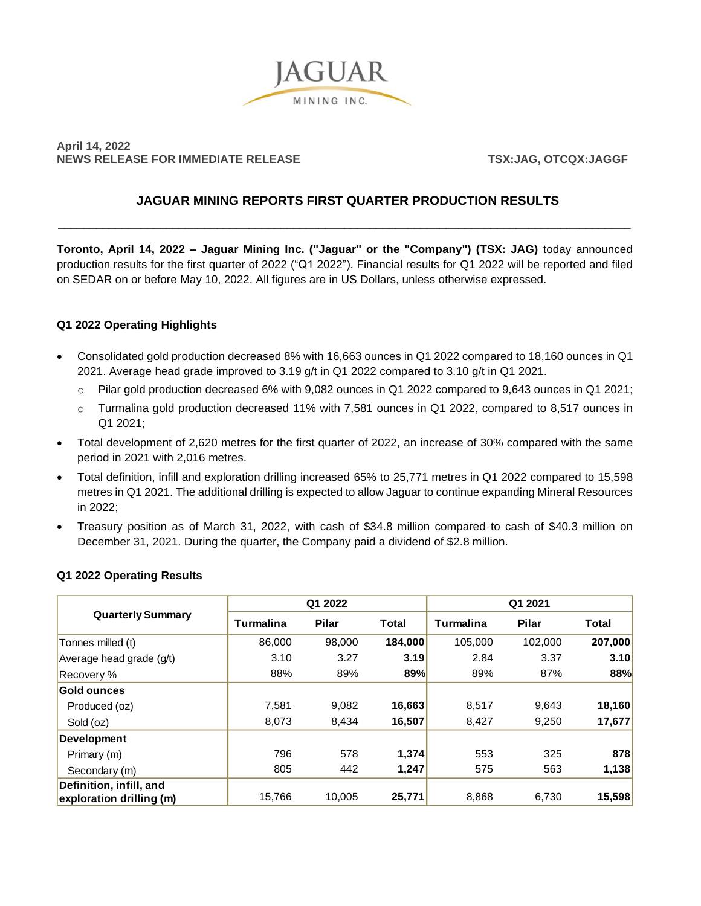

# **April 14, 2022 NEWS RELEASE FOR IMMEDIATE RELEASE TSX:JAG, OTCQX:JAGGF**

# **JAGUAR MINING REPORTS FIRST QUARTER PRODUCTION RESULTS**

\_\_\_\_\_\_\_\_\_\_\_\_\_\_\_\_\_\_\_\_\_\_\_\_\_\_\_\_\_\_\_\_\_\_\_\_\_\_\_\_\_\_\_\_\_\_\_\_\_\_\_\_\_\_\_\_\_\_\_\_\_\_\_\_\_\_\_\_\_\_\_\_\_\_\_\_\_\_\_\_\_\_\_\_\_\_\_\_\_\_

**Toronto, April 14, 2022 – Jaguar Mining Inc. ("Jaguar" or the "Company") (TSX: JAG)** today announced production results for the first quarter of 2022 ("Q1 2022"). Financial results for Q1 2022 will be reported and filed on SEDAR on or before May 10, 2022. All figures are in US Dollars, unless otherwise expressed.

## **Q1 2022 Operating Highlights**

- Consolidated gold production decreased 8% with 16,663 ounces in Q1 2022 compared to 18,160 ounces in Q1 2021. Average head grade improved to 3.19 g/t in Q1 2022 compared to 3.10 g/t in Q1 2021.
	- o Pilar gold production decreased 6% with 9,082 ounces in Q1 2022 compared to 9,643 ounces in Q1 2021;
	- o Turmalina gold production decreased 11% with 7,581 ounces in Q1 2022, compared to 8,517 ounces in Q1 2021;
- Total development of 2,620 metres for the first quarter of 2022, an increase of 30% compared with the same period in 2021 with 2,016 metres.
- Total definition, infill and exploration drilling increased 65% to 25,771 metres in Q1 2022 compared to 15,598 metres in Q1 2021. The additional drilling is expected to allow Jaguar to continue expanding Mineral Resources in 2022;
- Treasury position as of March 31, 2022, with cash of \$34.8 million compared to cash of \$40.3 million on December 31, 2021. During the quarter, the Company paid a dividend of \$2.8 million.

| <b>Quarterly Summary</b> | Q1 2022   |              |         | Q1 2021   |              |         |
|--------------------------|-----------|--------------|---------|-----------|--------------|---------|
|                          | Turmalina | <b>Pilar</b> | Total   | Turmalina | <b>Pilar</b> | Total   |
| Tonnes milled (t)        | 86,000    | 98,000       | 184,000 | 105.000   | 102,000      | 207,000 |
| Average head grade (g/t) | 3.10      | 3.27         | 3.19    | 2.84      | 3.37         | 3.10    |
| Recovery %               | 88%       | 89%          | 89%     | 89%       | 87%          | 88%     |
| <b>Gold ounces</b>       |           |              |         |           |              |         |
| Produced (oz)            | 7.581     | 9.082        | 16,663  | 8.517     | 9.643        | 18,160  |
| Sold (oz)                | 8,073     | 8,434        | 16,507  | 8,427     | 9,250        | 17,677  |
| Development              |           |              |         |           |              |         |
| Primary (m)              | 796       | 578          | 1,374   | 553       | 325          | 878     |
| Secondary (m)            | 805       | 442          | 1,247   | 575       | 563          | 1,138   |
| Definition, infill, and  |           |              |         |           |              |         |
| exploration drilling (m) | 15,766    | 10,005       | 25,771  | 8,868     | 6,730        | 15,598  |

## **Q1 2022 Operating Results**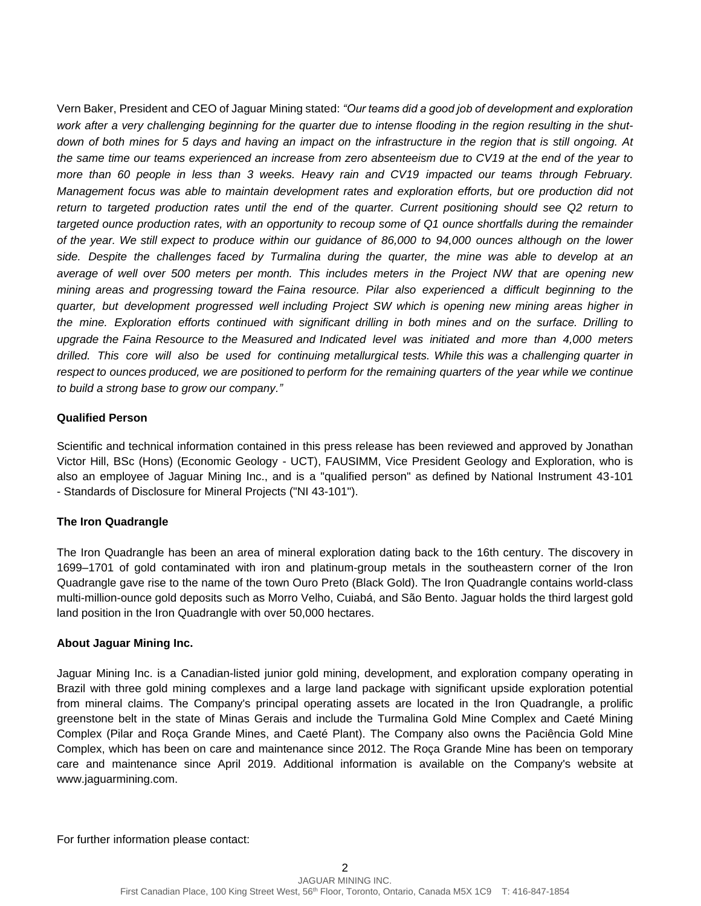Vern Baker, President and CEO of Jaguar Mining stated: *"Our teams did a good job of development and exploration work after a very challenging beginning for the quarter due to intense flooding in the region resulting in the shutdown of both mines for 5 days and having an impact on the infrastructure in the region that is still ongoing. At the same time our teams experienced an increase from zero absenteeism due to CV19 at the end of the year to more than 60 people in less than 3 weeks. Heavy rain and CV19 impacted our teams through February. Management focus was able to maintain development rates and exploration efforts, but ore production did not*  return to targeted production rates until the end of the quarter. Current positioning should see Q2 return to *targeted ounce production rates, with an opportunity to recoup some of Q1 ounce shortfalls during the remainder of the year. We still expect to produce within our guidance of 86,000 to 94,000 ounces although on the lower side. Despite the challenges faced by Turmalina during the quarter, the mine was able to develop at an average of well over 500 meters per month. This includes meters in the Project NW that are opening new mining areas and progressing toward the Faina resource. Pilar also experienced a difficult beginning to the quarter, but development progressed well including Project SW which is opening new mining areas higher in the mine. Exploration efforts continued with significant drilling in both mines and on the surface. Drilling to upgrade the Faina Resource to the Measured and Indicated level was initiated and more than 4,000 meters drilled. This core will also be used for continuing metallurgical tests. While this was a challenging quarter in respect to ounces produced, we are positioned to perform for the remaining quarters of the year while we continue to build a strong base to grow our company."*

## **Qualified Person**

Scientific and technical information contained in this press release has been reviewed and approved by Jonathan Victor Hill, BSc (Hons) (Economic Geology - UCT), FAUSIMM, Vice President Geology and Exploration, who is also an employee of Jaguar Mining Inc., and is a "qualified person" as defined by National Instrument 43-101 - Standards of Disclosure for Mineral Projects ("NI 43-101").

## **The Iron Quadrangle**

The Iron Quadrangle has been an area of mineral exploration dating back to the 16th century. The discovery in 1699–1701 of gold contaminated with iron and platinum-group metals in the southeastern corner of the Iron Quadrangle gave rise to the name of the town Ouro Preto (Black Gold). The Iron Quadrangle contains world-class multi-million-ounce gold deposits such as Morro Velho, Cuiabá, and São Bento. Jaguar holds the third largest gold land position in the Iron Quadrangle with over 50,000 hectares.

### **About Jaguar Mining Inc.**

Jaguar Mining Inc. is a Canadian-listed junior gold mining, development, and exploration company operating in Brazil with three gold mining complexes and a large land package with significant upside exploration potential from mineral claims. The Company's principal operating assets are located in the Iron Quadrangle, a prolific greenstone belt in the state of Minas Gerais and include the Turmalina Gold Mine Complex and Caeté Mining Complex (Pilar and Roça Grande Mines, and Caeté Plant). The Company also owns the Paciência Gold Mine Complex, which has been on care and maintenance since 2012. The Roça Grande Mine has been on temporary care and maintenance since April 2019. Additional information is available on the Company's website at www.jaguarmining.com.

For further information please contact: